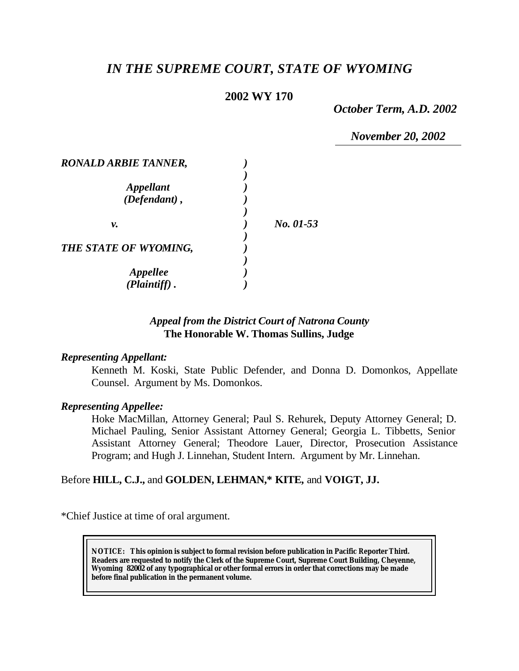# *IN THE SUPREME COURT, STATE OF WYOMING*

# **2002 WY 170**

*October Term, A.D. 2002*

*November 20, 2002*

| <b>RONALD ARBIE TANNER,</b>            |           |
|----------------------------------------|-----------|
| <b>Appellant</b><br>$(Defendant)$ ,    |           |
| v.                                     | No. 01-53 |
| THE STATE OF WYOMING,                  |           |
| <i><b>Appellee</b></i><br>(Plaintiff). |           |

# *Appeal from the District Court of Natrona County* **The Honorable W. Thomas Sullins, Judge**

#### *Representing Appellant:*

Kenneth M. Koski, State Public Defender, and Donna D. Domonkos, Appellate Counsel. Argument by Ms. Domonkos.

#### *Representing Appellee:*

Hoke MacMillan, Attorney General; Paul S. Rehurek, Deputy Attorney General; D. Michael Pauling, Senior Assistant Attorney General; Georgia L. Tibbetts, Senior Assistant Attorney General; Theodore Lauer, Director, Prosecution Assistance Program; and Hugh J. Linnehan, Student Intern. Argument by Mr. Linnehan.

# Before **HILL, C.J.,** and **GOLDEN, LEHMAN,\* KITE,** and **VOIGT, JJ.**

\*Chief Justice at time of oral argument.

**NOTICE:** *This opinion is subject to formal revision before publication in Pacific Reporter Third. Readers are requested to notify the Clerk of the Supreme Court, Supreme Court Building, Cheyenne, Wyoming 82002 of any typographical or other formal errors in order that corrections may be made before final publication in the permanent volume.*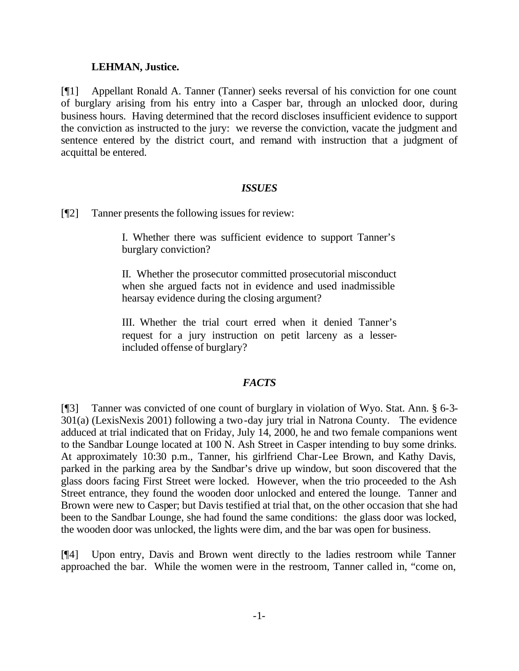#### **LEHMAN, Justice.**

[¶1] Appellant Ronald A. Tanner (Tanner) seeks reversal of his conviction for one count of burglary arising from his entry into a Casper bar, through an unlocked door, during business hours. Having determined that the record discloses insufficient evidence to support the conviction as instructed to the jury: we reverse the conviction, vacate the judgment and sentence entered by the district court, and remand with instruction that a judgment of acquittal be entered.

## *ISSUES*

[¶2] Tanner presents the following issues for review:

I. Whether there was sufficient evidence to support Tanner's burglary conviction?

II. Whether the prosecutor committed prosecutorial misconduct when she argued facts not in evidence and used inadmissible hearsay evidence during the closing argument?

III. Whether the trial court erred when it denied Tanner's request for a jury instruction on petit larceny as a lesserincluded offense of burglary?

## *FACTS*

[¶3] Tanner was convicted of one count of burglary in violation of Wyo. Stat. Ann. § 6-3- 301(a) (LexisNexis 2001) following a two-day jury trial in Natrona County. The evidence adduced at trial indicated that on Friday, July 14, 2000, he and two female companions went to the Sandbar Lounge located at 100 N. Ash Street in Casper intending to buy some drinks. At approximately 10:30 p.m., Tanner, his girlfriend Char-Lee Brown, and Kathy Davis, parked in the parking area by the Sandbar's drive up window, but soon discovered that the glass doors facing First Street were locked. However, when the trio proceeded to the Ash Street entrance, they found the wooden door unlocked and entered the lounge. Tanner and Brown were new to Casper; but Davis testified at trial that, on the other occasion that she had been to the Sandbar Lounge, she had found the same conditions: the glass door was locked, the wooden door was unlocked, the lights were dim, and the bar was open for business.

[¶4] Upon entry, Davis and Brown went directly to the ladies restroom while Tanner approached the bar. While the women were in the restroom, Tanner called in, "come on,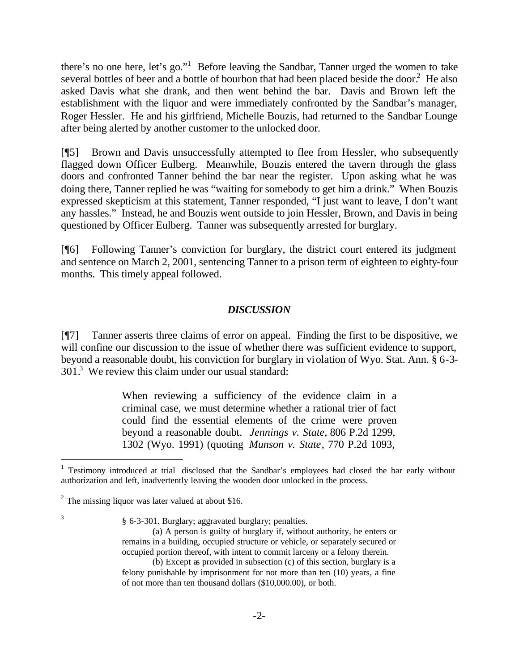there's no one here, let's go."<sup>1</sup> Before leaving the Sandbar, Tanner urged the women to take several bottles of beer and a bottle of bourbon that had been placed beside the door.<sup>2</sup> He also asked Davis what she drank, and then went behind the bar. Davis and Brown left the establishment with the liquor and were immediately confronted by the Sandbar's manager, Roger Hessler. He and his girlfriend, Michelle Bouzis, had returned to the Sandbar Lounge after being alerted by another customer to the unlocked door.

[¶5] Brown and Davis unsuccessfully attempted to flee from Hessler, who subsequently flagged down Officer Eulberg. Meanwhile, Bouzis entered the tavern through the glass doors and confronted Tanner behind the bar near the register. Upon asking what he was doing there, Tanner replied he was "waiting for somebody to get him a drink." When Bouzis expressed skepticism at this statement, Tanner responded, "I just want to leave, I don't want any hassles." Instead, he and Bouzis went outside to join Hessler, Brown, and Davis in being questioned by Officer Eulberg. Tanner was subsequently arrested for burglary.

[¶6] Following Tanner's conviction for burglary, the district court entered its judgment and sentence on March 2, 2001, sentencing Tanner to a prison term of eighteen to eighty-four months. This timely appeal followed.

## *DISCUSSION*

[¶7] Tanner asserts three claims of error on appeal. Finding the first to be dispositive, we will confine our discussion to the issue of whether there was sufficient evidence to support, beyond a reasonable doubt, his conviction for burglary in violation of Wyo. Stat. Ann. § 6-3- 301.<sup>3</sup> We review this claim under our usual standard:

> When reviewing a sufficiency of the evidence claim in a criminal case, we must determine whether a rational trier of fact could find the essential elements of the crime were proven beyond a reasonable doubt. *Jennings v. State,* 806 P.2d 1299, 1302 (Wyo. 1991) (quoting *Munson v. State*, 770 P.2d 1093,

3

l

§ 6-3-301. Burglary; aggravated burglary; penalties.

<sup>&</sup>lt;sup>1</sup> Testimony introduced at trial disclosed that the Sandbar's employees had closed the bar early without authorization and left, inadvertently leaving the wooden door unlocked in the process.

 $2^2$  The missing liquor was later valued at about \$16.

<sup>(</sup>a) A person is guilty of burglary if, without authority, he enters or remains in a building, occupied structure or vehicle, or separately secured or occupied portion thereof, with intent to commit larceny or a felony therein.

<sup>(</sup>b) Except as provided in subsection (c) of this section, burglary is a felony punishable by imprisonment for not more than ten (10) years, a fine of not more than ten thousand dollars (\$10,000.00), or both.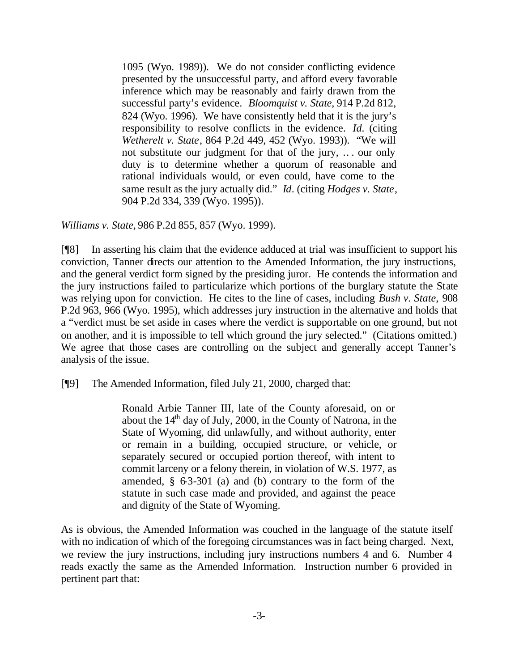1095 (Wyo. 1989)). We do not consider conflicting evidence presented by the unsuccessful party, and afford every favorable inference which may be reasonably and fairly drawn from the successful party's evidence. *Bloomquist v. State*, 914 P.2d 812, 824 (Wyo. 1996). We have consistently held that it is the jury's responsibility to resolve conflicts in the evidence. *Id.* (citing *Wetherelt v. State*, 864 P.2d 449, 452 (Wyo. 1993)). "We will not substitute our judgment for that of the jury, .. . our only duty is to determine whether a quorum of reasonable and rational individuals would, or even could, have come to the same result as the jury actually did." *Id*. (citing *Hodges v. State*, 904 P.2d 334, 339 (Wyo. 1995)).

*Williams v. State,* 986 P.2d 855, 857 (Wyo. 1999).

[¶8] In asserting his claim that the evidence adduced at trial was insufficient to support his conviction, Tanner directs our attention to the Amended Information, the jury instructions, and the general verdict form signed by the presiding juror. He contends the information and the jury instructions failed to particularize which portions of the burglary statute the State was relying upon for conviction. He cites to the line of cases, including *Bush v. State,* 908 P.2d 963, 966 (Wyo. 1995), which addresses jury instruction in the alternative and holds that a "verdict must be set aside in cases where the verdict is supportable on one ground, but not on another, and it is impossible to tell which ground the jury selected." (Citations omitted.) We agree that those cases are controlling on the subject and generally accept Tanner's analysis of the issue.

[¶9] The Amended Information, filed July 21, 2000, charged that:

Ronald Arbie Tanner III, late of the County aforesaid, on or about the  $14<sup>th</sup>$  day of July, 2000, in the County of Natrona, in the State of Wyoming, did unlawfully, and without authority, enter or remain in a building, occupied structure, or vehicle, or separately secured or occupied portion thereof, with intent to commit larceny or a felony therein, in violation of W.S. 1977, as amended,  $\S$  63-301 (a) and (b) contrary to the form of the statute in such case made and provided, and against the peace and dignity of the State of Wyoming.

As is obvious, the Amended Information was couched in the language of the statute itself with no indication of which of the foregoing circumstances was in fact being charged. Next, we review the jury instructions, including jury instructions numbers 4 and 6. Number 4 reads exactly the same as the Amended Information. Instruction number 6 provided in pertinent part that: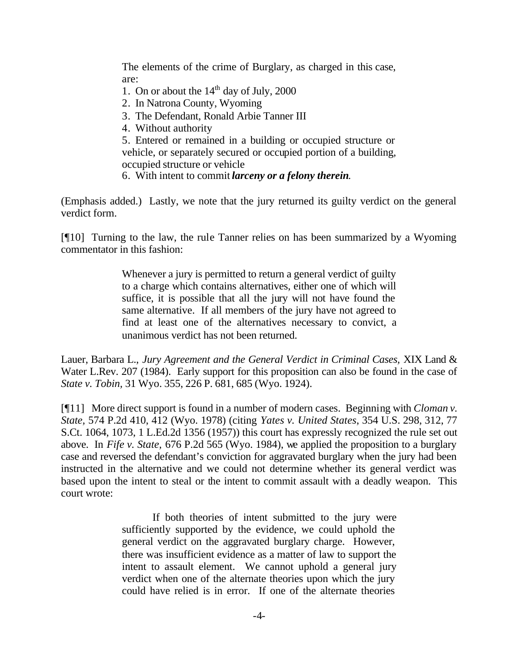The elements of the crime of Burglary, as charged in this case, are:

- 1. On or about the  $14<sup>th</sup>$  day of July, 2000
- 2. In Natrona County, Wyoming
- 3. The Defendant, Ronald Arbie Tanner III
- 4. Without authority

5. Entered or remained in a building or occupied structure or vehicle, or separately secured or occupied portion of a building, occupied structure or vehicle

6. With intent to commit *larceny or a felony therein*.

(Emphasis added.) Lastly, we note that the jury returned its guilty verdict on the general verdict form.

[¶10] Turning to the law, the rule Tanner relies on has been summarized by a Wyoming commentator in this fashion:

> Whenever a jury is permitted to return a general verdict of guilty to a charge which contains alternatives, either one of which will suffice, it is possible that all the jury will not have found the same alternative. If all members of the jury have not agreed to find at least one of the alternatives necessary to convict, a unanimous verdict has not been returned.

Lauer, Barbara L., *Jury Agreement and the General Verdict in Criminal Cases,* XIX Land & Water L.Rev. 207 (1984). Early support for this proposition can also be found in the case of *State v. Tobin,* 31 Wyo. 355, 226 P. 681, 685 (Wyo. 1924).

[¶11] More direct support is found in a number of modern cases. Beginning with *Cloman v. State,* 574 P.2d 410, 412 (Wyo. 1978) (citing *Yates v. United States*, 354 U.S. 298, 312, 77 S.Ct. 1064, 1073, 1 L.Ed.2d 1356 (1957)) this court has expressly recognized the rule set out above. In *Fife v. State,* 676 P.2d 565 (Wyo. 1984), we applied the proposition to a burglary case and reversed the defendant's conviction for aggravated burglary when the jury had been instructed in the alternative and we could not determine whether its general verdict was based upon the intent to steal or the intent to commit assault with a deadly weapon. This court wrote:

> If both theories of intent submitted to the jury were sufficiently supported by the evidence, we could uphold the general verdict on the aggravated burglary charge. However, there was insufficient evidence as a matter of law to support the intent to assault element. We cannot uphold a general jury verdict when one of the alternate theories upon which the jury could have relied is in error. If one of the alternate theories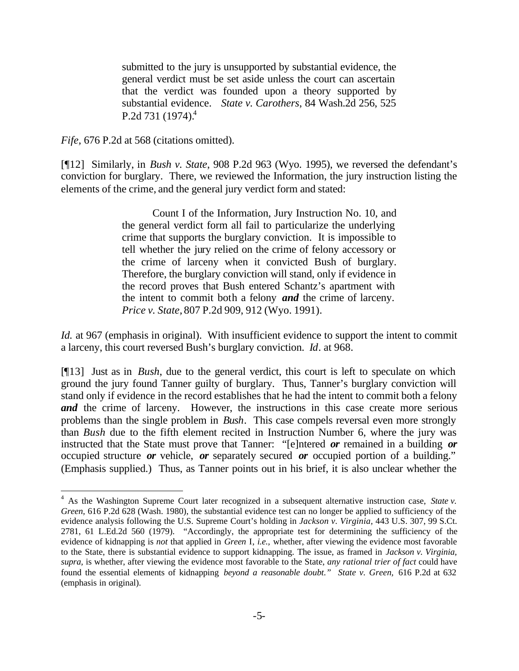submitted to the jury is unsupported by substantial evidence, the general verdict must be set aside unless the court can ascertain that the verdict was founded upon a theory supported by substantial evidence. *State v. Carothers*, 84 Wash.2d 256, 525 P.2d 731  $(1974)^4$ 

*Fife,* 676 P.2d at 568 (citations omitted).

l

[¶12] Similarly, in *Bush v. State*, 908 P.2d 963 (Wyo. 1995), we reversed the defendant's conviction for burglary. There, we reviewed the Information, the jury instruction listing the elements of the crime, and the general jury verdict form and stated:

> Count I of the Information, Jury Instruction No. 10, and the general verdict form all fail to particularize the underlying crime that supports the burglary conviction. It is impossible to tell whether the jury relied on the crime of felony accessory or the crime of larceny when it convicted Bush of burglary. Therefore, the burglary conviction will stand, only if evidence in the record proves that Bush entered Schantz's apartment with the intent to commit both a felony *and* the crime of larceny. *Price v. State,* 807 P.2d 909, 912 (Wyo. 1991).

*Id.* at 967 (emphasis in original). With insufficient evidence to support the intent to commit a larceny, this court reversed Bush's burglary conviction. *Id*. at 968.

[¶13] Just as in *Bush*, due to the general verdict, this court is left to speculate on which ground the jury found Tanner guilty of burglary. Thus, Tanner's burglary conviction will stand only if evidence in the record establishes that he had the intent to commit both a felony *and* the crime of larceny. However, the instructions in this case create more serious problems than the single problem in *Bush*. This case compels reversal even more strongly than *Bush* due to the fifth element recited in Instruction Number 6, where the jury was instructed that the State must prove that Tanner: "[e]ntered *or* remained in a building *or* occupied structure *or* vehicle, *or* separately secured *or* occupied portion of a building." (Emphasis supplied.) Thus, as Tanner points out in his brief, it is also unclear whether the

<sup>4</sup> As the Washington Supreme Court later recognized in a subsequent alternative instruction case, *State v. Green,* 616 P.2d 628 (Wash. 1980), the substantial evidence test can no longer be applied to sufficiency of the evidence analysis following the U.S. Supreme Court's holding in *Jackson v. Virginia,* 443 U.S. 307, 99 S.Ct. 2781, 61 L.Ed.2d 560 (1979). "Accordingly, the appropriate test for determining the sufficiency of the evidence of kidnapping is *not* that applied in *Green* I, *i.e.,* whether, after viewing the evidence most favorable to the State, there is substantial evidence to support kidnapping. The issue, as framed in *Jackson v. Virginia, supra,* is whether, after viewing the evidence most favorable to the State, *any rational trier of fact* could have found the essential elements of kidnapping *beyond a reasonable doubt." State v. Green,* 616 P.2d at 632 (emphasis in original).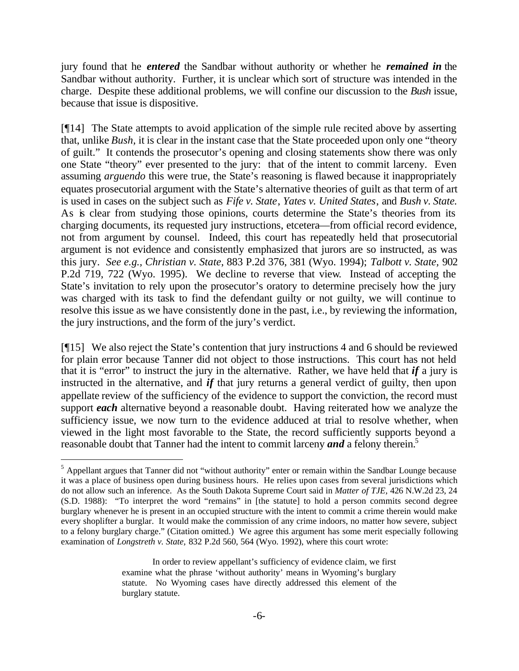jury found that he *entered* the Sandbar without authority or whether he *remained in* the Sandbar without authority. Further, it is unclear which sort of structure was intended in the charge. Despite these additional problems, we will confine our discussion to the *Bush* issue, because that issue is dispositive.

[¶14] The State attempts to avoid application of the simple rule recited above by asserting that, unlike *Bush,* it is clear in the instant case that the State proceeded upon only one "theory of guilt." It contends the prosecutor's opening and closing statements show there was only one State "theory" ever presented to the jury: that of the intent to commit larceny. Even assuming *arguendo* this were true, the State's reasoning is flawed because it inappropriately equates prosecutorial argument with the State's alternative theories of guilt as that term of art is used in cases on the subject such as *Fife v. State*, *Yates v. United States*, and *Bush v. State.*  As is clear from studying those opinions, courts determine the State's theories from its charging documents, its requested jury instructions, etcetera—from official record evidence, not from argument by counsel. Indeed, this court has repeatedly held that prosecutorial argument is not evidence and consistently emphasized that jurors are so instructed, as was this jury. *See e.g., Christian v. State*, 883 P.2d 376, 381 (Wyo. 1994); *Talbott v. State,* 902 P.2d 719, 722 (Wyo. 1995). We decline to reverse that view. Instead of accepting the State's invitation to rely upon the prosecutor's oratory to determine precisely how the jury was charged with its task to find the defendant guilty or not guilty, we will continue to resolve this issue as we have consistently done in the past, i.e., by reviewing the information, the jury instructions, and the form of the jury's verdict.

[¶15] We also reject the State's contention that jury instructions 4 and 6 should be reviewed for plain error because Tanner did not object to those instructions. This court has not held that it is "error" to instruct the jury in the alternative. Rather, we have held that *if* a jury is instructed in the alternative, and *if* that jury returns a general verdict of guilty, then upon appellate review of the sufficiency of the evidence to support the conviction, the record must support *each* alternative beyond a reasonable doubt. Having reiterated how we analyze the sufficiency issue, we now turn to the evidence adduced at trial to resolve whether, when viewed in the light most favorable to the State, the record sufficiently supports beyond a reasonable doubt that Tanner had the intent to commit larceny *and* a felony therein.<sup>5</sup>

l

<sup>&</sup>lt;sup>5</sup> Appellant argues that Tanner did not "without authority" enter or remain within the Sandbar Lounge because it was a place of business open during business hours. He relies upon cases from several jurisdictions which do not allow such an inference. As the South Dakota Supreme Court said in *Matter of TJE,* 426 N.W.2d 23, 24 (S.D. 1988): "To interpret the word "remains" in [the statute] to hold a person commits second degree burglary whenever he is present in an occupied structure with the intent to commit a crime therein would make every shoplifter a burglar. It would make the commission of any crime indoors, no matter how severe, subject to a felony burglary charge." (Citation omitted.) We agree this argument has some merit especially following examination of *Longstreth v. State,* 832 P.2d 560, 564 (Wyo. 1992), where this court wrote:

In order to review appellant's sufficiency of evidence claim, we first examine what the phrase 'without authority' means in Wyoming's burglary statute. No Wyoming cases have directly addressed this element of the burglary statute.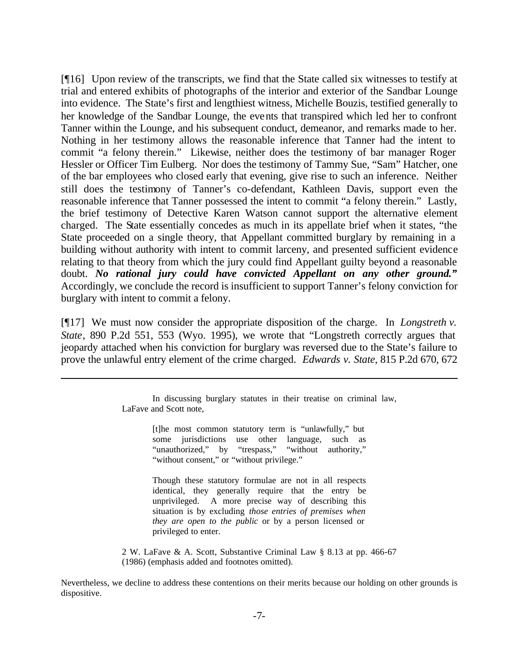[¶16] Upon review of the transcripts, we find that the State called six witnesses to testify at trial and entered exhibits of photographs of the interior and exterior of the Sandbar Lounge into evidence. The State's first and lengthiest witness, Michelle Bouzis, testified generally to her knowledge of the Sandbar Lounge, the events that transpired which led her to confront Tanner within the Lounge, and his subsequent conduct, demeanor, and remarks made to her. Nothing in her testimony allows the reasonable inference that Tanner had the intent to commit "a felony therein." Likewise, neither does the testimony of bar manager Roger Hessler or Officer Tim Eulberg. Nor does the testimony of Tammy Sue, "Sam" Hatcher, one of the bar employees who closed early that evening, give rise to such an inference. Neither still does the testimony of Tanner's co-defendant, Kathleen Davis, support even the reasonable inference that Tanner possessed the intent to commit "a felony therein." Lastly, the brief testimony of Detective Karen Watson cannot support the alternative element charged. The State essentially concedes as much in its appellate brief when it states, "the State proceeded on a single theory, that Appellant committed burglary by remaining in a building without authority with intent to commit larceny, and presented sufficient evidence relating to that theory from which the jury could find Appellant guilty beyond a reasonable doubt. *No rational jury could have convicted Appellant on any other ground."* Accordingly, we conclude the record is insufficient to support Tanner's felony conviction for burglary with intent to commit a felony.

[¶17] We must now consider the appropriate disposition of the charge. In *Longstreth v. State*, 890 P.2d 551, 553 (Wyo. 1995), we wrote that "Longstreth correctly argues that jeopardy attached when his conviction for burglary was reversed due to the State's failure to prove the unlawful entry element of the crime charged. *Edwards v. State*, 815 P.2d 670, 672

l

[t]he most common statutory term is "unlawfully," but some jurisdictions use other language, such as "unauthorized," by "trespass," "without authority," "without consent," or "without privilege."

Though these statutory formulae are not in all respects identical, they generally require that the entry be unprivileged. A more precise way of describing this situation is by excluding *those entries of premises when they are open to the public* or by a person licensed or privileged to enter.

2 W. LaFave & A. Scott, Substantive Criminal Law § 8.13 at pp. 466-67 (1986) (emphasis added and footnotes omitted).

Nevertheless, we decline to address these contentions on their merits because our holding on other grounds is dispositive.

In discussing burglary statutes in their treatise on criminal law, LaFave and Scott note,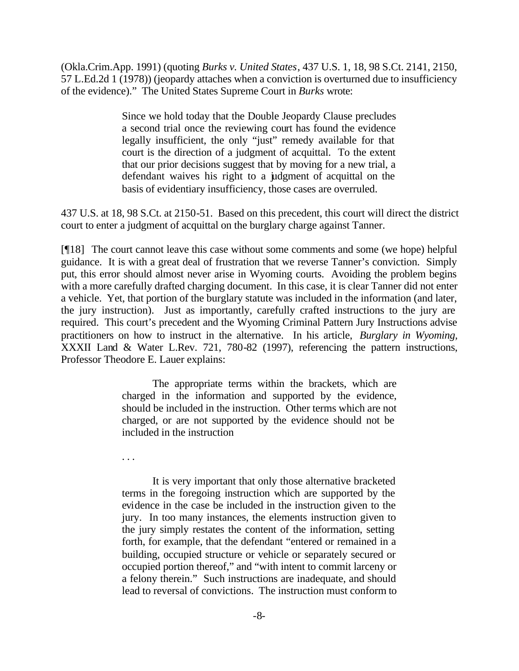(Okla.Crim.App. 1991) (quoting *Burks v. United States*, 437 U.S. 1, 18, 98 S.Ct. 2141, 2150, 57 L.Ed.2d 1 (1978)) (jeopardy attaches when a conviction is overturned due to insufficiency of the evidence)." The United States Supreme Court in *Burks* wrote:

> Since we hold today that the Double Jeopardy Clause precludes a second trial once the reviewing court has found the evidence legally insufficient, the only "just" remedy available for that court is the direction of a judgment of acquittal. To the extent that our prior decisions suggest that by moving for a new trial, a defendant waives his right to a judgment of acquittal on the basis of evidentiary insufficiency, those cases are overruled.

437 U.S. at 18, 98 S.Ct. at 2150-51. Based on this precedent, this court will direct the district court to enter a judgment of acquittal on the burglary charge against Tanner.

[¶18] The court cannot leave this case without some comments and some (we hope) helpful guidance. It is with a great deal of frustration that we reverse Tanner's conviction. Simply put, this error should almost never arise in Wyoming courts. Avoiding the problem begins with a more carefully drafted charging document. In this case, it is clear Tanner did not enter a vehicle. Yet, that portion of the burglary statute was included in the information (and later, the jury instruction). Just as importantly, carefully crafted instructions to the jury are required. This court's precedent and the Wyoming Criminal Pattern Jury Instructions advise practitioners on how to instruct in the alternative. In his article, *Burglary in Wyoming,* XXXII Land & Water L.Rev. 721, 780-82 (1997), referencing the pattern instructions, Professor Theodore E. Lauer explains:

> The appropriate terms within the brackets, which are charged in the information and supported by the evidence, should be included in the instruction. Other terms which are not charged, or are not supported by the evidence should not be included in the instruction

. . .

It is very important that only those alternative bracketed terms in the foregoing instruction which are supported by the evidence in the case be included in the instruction given to the jury. In too many instances, the elements instruction given to the jury simply restates the content of the information, setting forth, for example, that the defendant "entered or remained in a building, occupied structure or vehicle or separately secured or occupied portion thereof," and "with intent to commit larceny or a felony therein." Such instructions are inadequate, and should lead to reversal of convictions. The instruction must conform to